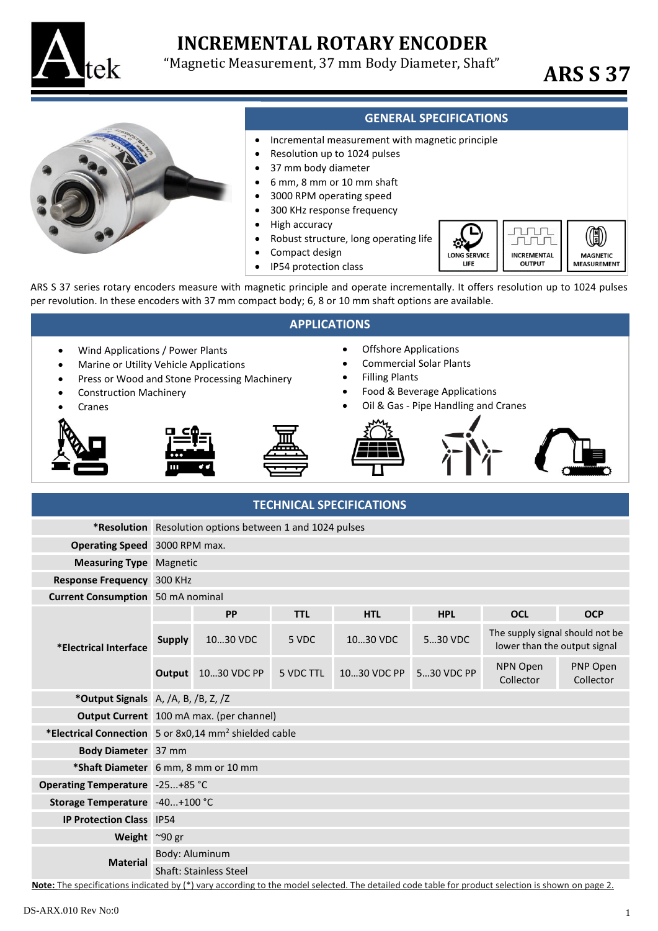

# **INCREMENTAL ROTARY ENCODER**

"Magnetic Measurement, 37 mm Body Diameter, Shaft" **ARS S 37**

 $\circledR$ 

**MAGNETIC** 

**MEASUREMENT** 

**DOD** JULU

**INCREMENTAL** 

**OUTPUT** 



## **GENERAL SPECIFICATIONS**

тō **LONG SERVICE** 

LIFE

- Incremental measurement with magnetic principle
- Resolution up to 1024 pulses • 37 mm body diameter
	- 6 mm, 8 mm or 10 mm shaft
	- 3000 RPM operating speed
	- 300 KHz response frequency
	- High accuracy
	- Robust structure, long operating life
	- Compact design
	- IP54 protection class

ARS S 37 series rotary encoders measure with magnetic principle and operate incrementally. It offers resolution up to 1024 pulses per revolution. In these encoders with 37 mm compact body; 6, 8 or 10 mm shaft options are available.

| <b>APPLICATIONS</b>                                                                                                                                  |                                                                                                                                                                                    |                    |                                                                                                                                                                              |             |            |                                                                 |                       |  |
|------------------------------------------------------------------------------------------------------------------------------------------------------|------------------------------------------------------------------------------------------------------------------------------------------------------------------------------------|--------------------|------------------------------------------------------------------------------------------------------------------------------------------------------------------------------|-------------|------------|-----------------------------------------------------------------|-----------------------|--|
| Wind Applications / Power Plants<br>$\bullet$<br>Marine or Utility Vehicle Applications<br>$\bullet$<br><b>Construction Machinery</b><br>Ċ<br>Cranes | Press or Wood and Stone Processing Machinery                                                                                                                                       |                    | <b>Offshore Applications</b><br><b>Commercial Solar Plants</b><br><b>Filling Plants</b><br>Food & Beverage Applications<br>$\bullet$<br>Oil & Gas - Pipe Handling and Cranes |             |            |                                                                 |                       |  |
| <b>TECHNICAL SPECIFICATIONS</b>                                                                                                                      |                                                                                                                                                                                    |                    |                                                                                                                                                                              |             |            |                                                                 |                       |  |
|                                                                                                                                                      | *Resolution Resolution options between 1 and 1024 pulses                                                                                                                           |                    |                                                                                                                                                                              |             |            |                                                                 |                       |  |
| Operating Speed 3000 RPM max.                                                                                                                        |                                                                                                                                                                                    |                    |                                                                                                                                                                              |             |            |                                                                 |                       |  |
| <b>Measuring Type Magnetic</b>                                                                                                                       |                                                                                                                                                                                    |                    |                                                                                                                                                                              |             |            |                                                                 |                       |  |
| Response Frequency 300 KHz                                                                                                                           |                                                                                                                                                                                    |                    |                                                                                                                                                                              |             |            |                                                                 |                       |  |
| <b>Current Consumption</b> 50 mA nominal                                                                                                             |                                                                                                                                                                                    |                    |                                                                                                                                                                              |             |            |                                                                 |                       |  |
| *Electrical Interface                                                                                                                                |                                                                                                                                                                                    | PP                 | <b>TTL</b>                                                                                                                                                                   | <b>HTL</b>  | <b>HPL</b> | <b>OCL</b>                                                      | <b>OCP</b>            |  |
|                                                                                                                                                      | <b>Supply</b>                                                                                                                                                                      | 1030 VDC           | 5 VDC                                                                                                                                                                        | 1030 VDC    | 530 VDC    | The supply signal should not be<br>lower than the output signal |                       |  |
|                                                                                                                                                      |                                                                                                                                                                                    | Output 1030 VDC PP | 5 VDC TTL                                                                                                                                                                    | 1030 VDC PP | 530 VDC PP | NPN Open<br>Collector                                           | PNP Open<br>Collector |  |
|                                                                                                                                                      | *Output Signals A, /A, B, /B, Z, /Z                                                                                                                                                |                    |                                                                                                                                                                              |             |            |                                                                 |                       |  |
|                                                                                                                                                      | Output Current 100 mA max. (per channel)                                                                                                                                           |                    |                                                                                                                                                                              |             |            |                                                                 |                       |  |
|                                                                                                                                                      | *Electrical Connection 5 or 8x0,14 mm <sup>2</sup> shielded cable                                                                                                                  |                    |                                                                                                                                                                              |             |            |                                                                 |                       |  |
| Body Diameter 37 mm                                                                                                                                  |                                                                                                                                                                                    |                    |                                                                                                                                                                              |             |            |                                                                 |                       |  |
|                                                                                                                                                      | *Shaft Diameter 6 mm, 8 mm or 10 mm                                                                                                                                                |                    |                                                                                                                                                                              |             |            |                                                                 |                       |  |
| Operating Temperature -25+85 °C                                                                                                                      |                                                                                                                                                                                    |                    |                                                                                                                                                                              |             |            |                                                                 |                       |  |
| Storage Temperature -40+100 °C                                                                                                                       |                                                                                                                                                                                    |                    |                                                                                                                                                                              |             |            |                                                                 |                       |  |
| <b>IP Protection Class</b> IP54                                                                                                                      |                                                                                                                                                                                    |                    |                                                                                                                                                                              |             |            |                                                                 |                       |  |
| Weight ~90 gr                                                                                                                                        |                                                                                                                                                                                    |                    |                                                                                                                                                                              |             |            |                                                                 |                       |  |
| <b>Material</b>                                                                                                                                      | Body: Aluminum                                                                                                                                                                     |                    |                                                                                                                                                                              |             |            |                                                                 |                       |  |
|                                                                                                                                                      | <b>Shaft: Stainless Steel</b><br>Note: The specifications indicated by (*) vary according to the model selected. The detailed code table for product selection is shown on page 2. |                    |                                                                                                                                                                              |             |            |                                                                 |                       |  |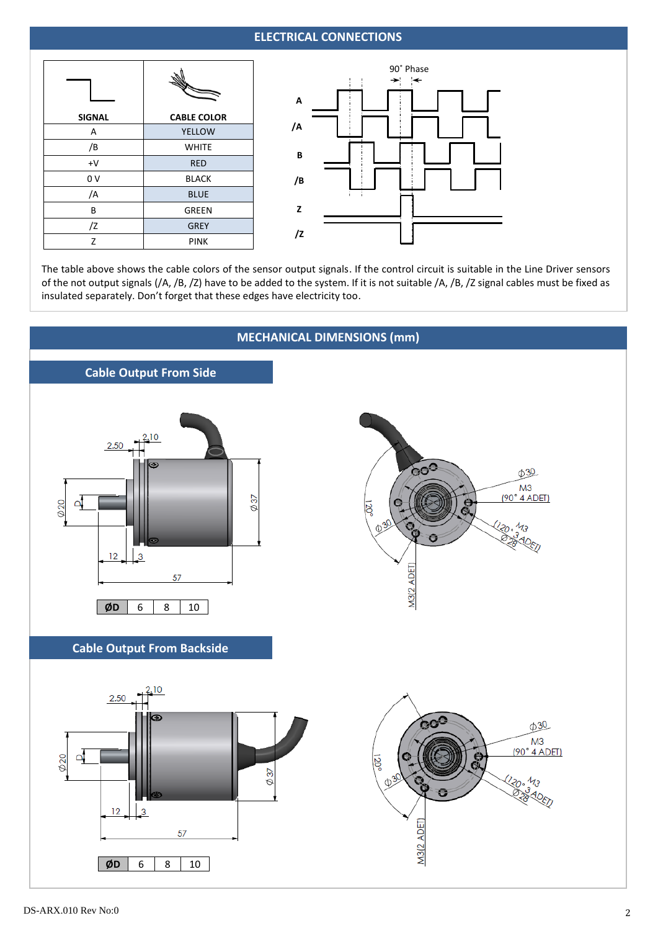## **ELECTRICAL CONNECTIONS**

| <b>SIGNAL</b> | <b>CABLE COLOR</b> |  |  |
|---------------|--------------------|--|--|
| A             | <b>YELLOW</b>      |  |  |
| /B            | <b>WHITE</b>       |  |  |
| $+V$          | <b>RED</b>         |  |  |
| 0 V           | <b>BLACK</b>       |  |  |
| /A            | <b>BLUE</b>        |  |  |
| B             | <b>GREEN</b>       |  |  |
| /Z            | <b>GREY</b>        |  |  |
| Z             | <b>PINK</b>        |  |  |



The table above shows the cable colors of the sensor output signals. If the control circuit is suitable in the Line Driver sensors of the not output signals (/A, /B, /Z) have to be added to the system. If it is not suitable /A, /B, /Z signal cables must be fixed as insulated separately. Don't forget that these edges have electricity too.